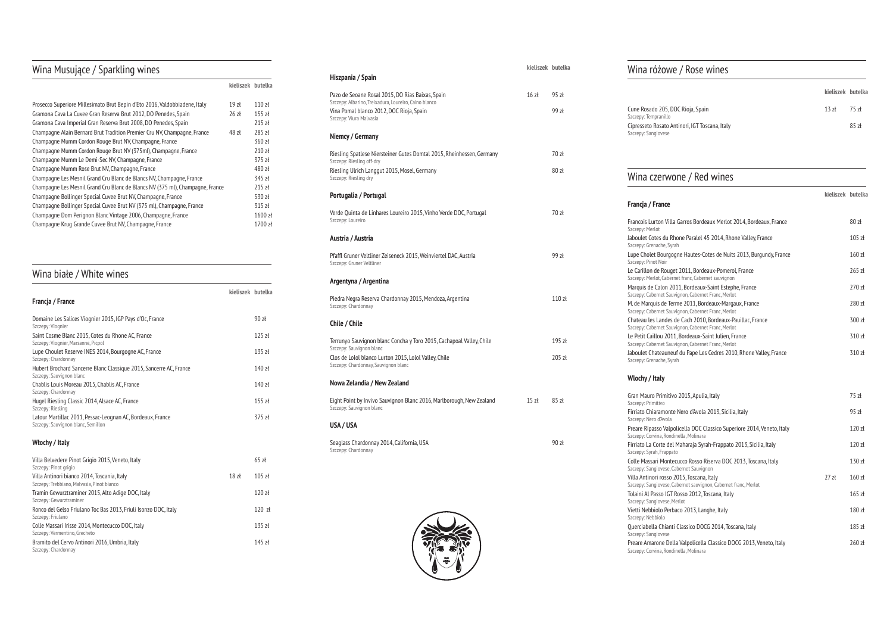## Wina Musujące / Sparkling wines

|                                                                               | kieliszek butelka |          |
|-------------------------------------------------------------------------------|-------------------|----------|
| Prosecco Superiore Millesimato Brut Bepin d'Eto 2016, Valdobbiadene, Italy    | 19 <sub>z</sub>   | $110$ zł |
| Gramona Cava La Cuvee Gran Reserva Brut 2012, DO Penedes, Spain               | 26z               | $155$ zł |
| Gramona Cava Imperial Gran Reserva Brut 2008, DO Penedes, Spain               |                   | $215$ zł |
| Champagne Alain Bernard Brut Tradition Premier Cru NV, Champagne, France      | $48$ zł           | $285$ zł |
| Champagne Mumm Cordon Rouge Brut NV, Champagne, France                        |                   | 360 zł   |
| Champagne Mumm Cordon Rouge Brut NV (375ml), Champagne, France                |                   | 210 zł   |
| Champagne Mumm Le Demi-Sec NV, Champagne, France                              |                   | 375 zł   |
| Champagne Mumm Rose Brut NV, Champagne, France                                |                   | 480 zł   |
| Champagne Les Mesnil Grand Cru Blanc de Blancs NV, Champagne, France          |                   | 345 zł   |
| Champagne Les Mesnil Grand Cru Blanc de Blancs NV (375 ml), Champagne, France |                   | $215$ zł |
| Champagne Bollinger Special Cuvee Brut NV, Champagne, France                  |                   | 530 zł   |
| Champagne Bollinger Special Cuvee Brut NV (375 ml), Champagne, France         |                   | 315 zł   |
| Champagne Dom Perignon Blanc Vintage 2006, Champagne, France                  |                   | 1600 zł  |
| Champagne Krug Grande Cuvee Brut NV, Champagne, France                        |                   | 1700 zł  |
|                                                                               |                   |          |

### Wina białe / White wines

|                                                                                                  | kieliszek butelka |                   |
|--------------------------------------------------------------------------------------------------|-------------------|-------------------|
| Francja / France                                                                                 |                   |                   |
| Domaine Les Salices Viognier 2015, IGP Pays d'Oc, France<br>Szczepy: Viognier                    |                   | 90 z <sub>k</sub> |
| Saint Cosme Blanc 2015, Cotes du Rhone AC, France<br>Szczepy: Viognier, Marsanne, Picpol         |                   | 125z              |
| Lupe Choulet Reserve INES 2014, Bourgogne AC, France<br>Szczepy: Chardonnay                      |                   | $135$ zł          |
| Hubert Brochard Sancerre Blanc Classique 2015, Sancerre AC, France<br>Szczepy: Sauvignon blanc   |                   | $140$ zł          |
| Chablis Louis Moreau 2015, Chablis AC, France<br>Szczepy: Chardonnay                             |                   | $140$ zł          |
| Hugel Riesling Classic 2014, Alsace AC, France<br>Szczepy: Riesling                              |                   | $155$ zł          |
| Latour Martillac 2011, Pessac-Leognan AC, Bordeaux, France<br>Szczepy: Sauvignon blanc, Semillon |                   | 375 zł            |
| Włochy / Italy                                                                                   |                   |                   |
|                                                                                                  |                   |                   |

Cune Rosado 205, DO Szczepy: Tempranillo Cipresseto Rosato An Szczepy: Sangiovese

| Villa Belvedere Pinot Grigio 2015, Veneto, Italy                                     |                 | $65$ zł  |
|--------------------------------------------------------------------------------------|-----------------|----------|
| Szczepy: Pinot grigio<br>Villa Antinori bianco 2014, Toscania, Italy                 | 18 <sub>z</sub> | $105$ zł |
| Szczepy: Trebbiano, Malyasia, Pinot bianco                                           |                 |          |
| Tramin Gewurztraminer 2015, Alto Adige DOC, Italy<br>Szczepy: Gewurztraminer         |                 | 120z     |
| Ronco del Gelso Friulano Toc Bas 2013, Friuli Isonzo DOC, Italy<br>Szczepy: Friulano |                 | 120 z    |
| Colle Massari Irisse 2014, Montecucco DOC, Italy<br>Szczepy: Vermentino, Grecheto    |                 | $135$ zł |
| Bramito del Cervo Antinori 2016, Umbria, Italy<br>Szczepy: Chardonnay                |                 | $145$ zł |

**kieliszek butelka**

Gran Mauro Primitivo Szczepy: Primitivo Firriato Chiaramonte Szczepy: Nero d'Avola Preare Ripasso Valpol Szczepy: Corvina, Rondin Firriato La Corte del Szczepy: Syrah, Frappato Colle Massari Montec Szczepy: Sangiovese, Cal Villa Antinori rosso 2 Szczepy: Sangiovese, Cal Tolaini Al Passo IGT R Szczepy: Sangiovese, Me Vietti Nebbiolo Perba Szczepy: Nebbiolo Querciabella Chianti Szczepy: Sangiovese Preare Amarone Della Szczepy: Corvina, Rondinella, Molinara

| Hiszpania / Spain                                                                                         | KIELISZEK DULELKA |          |
|-----------------------------------------------------------------------------------------------------------|-------------------|----------|
| Pazo de Seoane Rosal 2015, DO Rias Baixas, Spain<br>Szczepy: Albarino, Treixadura, Loureiro, Caino blanco | $16$ zł           | $95z +$  |
| Vina Pomal blanco 2012, DOC Rioja, Spain<br>Szczepy: Viura Malvasia                                       |                   | 99 zł    |
| Niemcy / Germany                                                                                          |                   |          |
| Riesling Spatlese Niersteiner Gutes Domtal 2015, Rheinhessen, Germany<br>Szczepy: Riesling off-dry        |                   | 707      |
| Riesling Ulrich Langgut 2015, Mosel, Germany<br>Szczepy: Riesling dry                                     |                   | 80z      |
| Portugalia / Portugal                                                                                     |                   |          |
| Verde Quinta de Linhares Loureiro 2015, Vinho Verde DOC, Portugal<br>Szczepy: Loureiro                    |                   | 70 zł    |
| Austria / Austria                                                                                         |                   |          |
| Pfaffl Gruner Veltliner Zeiseneck 2015, Weinviertel DAC, Austria<br>Szczepy: Gruner Veltliner             |                   | 99 zł    |
| Argentyna / Argentina                                                                                     |                   |          |
| Piedra Negra Reserva Chardonnay 2015, Mendoza, Argentina<br>Szczepy: Chardonnay                           |                   | 110z     |
| Chile / Chile                                                                                             |                   |          |
| Terrunyo Sauvignon blanc Concha y Toro 2015, Cachapoal Valley, Chile<br>Szczepy: Sauvignon blanc          |                   | 195 zł   |
| Clos de Lolol blanco Lurton 2015, Lolol Valley, Chile<br>Szczepy: Chardonnay, Sauvignon blanc             |                   | $205$ zł |
| Nowa Zelandia / New Zealand                                                                               |                   |          |
| Eight Point by Invivo Sauvignon Blanc 2016, Marlborough, New Zealand<br>Szczepy: Sauvignon blanc          | 15 <sub>z</sub>   | 85 zł    |
| USA / USA                                                                                                 |                   |          |
|                                                                                                           |                   | 90 zł    |



#### Wina różowe / Rose wines

|                             | kieliszek butelka |     |
|-----------------------------|-------------------|-----|
| OC Rioja, Spain             | $13$ zł 75 zł     |     |
| ntinori, IGT Toscana, Italy |                   | 85z |

### Wina czerwone / Red wines

#### **Francja / France**

Francois Lurton Villa Szczepy: Merlot Jaboulet Cotes du Rho Szczepy: Grenache, Syra Lupe Cholet Bourgog Szczepy: Pinot Noir Le Carillon de Rouge Szczepy: Merlot, Cabern Marquis de Calon 201 Szczepy: Cabernet Sauvi M. de Marquis de Tern Szczepy: Cabernet Sauvi Chateau les Landes d Szczepy: Cabernet Sauvi Le Petit Caillou 2011, Szczepy: Cabernet Sauvi Jaboulet Chateauneuf

### Szczepy: Grenache, Syral

|                                                                                                                      | kieliszek butelka |                              |
|----------------------------------------------------------------------------------------------------------------------|-------------------|------------------------------|
| Garros Bordeaux Merlot 2014, Bordeaux, France                                                                        |                   | $80$ zł                      |
| one Paralel 45 2014, Rhone Valley, France<br>۱h                                                                      |                   | $105$ zł                     |
| ine Hautes-Cotes de Nuits 2013, Burgundy, France                                                                     |                   | 160 zł                       |
| t 2011, Bordeaux-Pomerol, France<br>et franc, Cabernet sauvignon                                                     |                   | 265 zł                       |
| 11, Bordeaux-Saint Estephe, France<br>ignon, Cabernet Franc, Merlot<br>me 2011, Bordeaux-Margaux, France             |                   | 270 zł<br>280 zł             |
| ignon, Cabernet Franc, Merlot<br>de Cach 2010, Bordeaux-Pauillac, France<br>ignon, Cabernet Franc, Merlot            |                   | 300 zł                       |
| , Bordeaux-Saint Julien, France<br>ignon, Cabernet Franc, Merlot<br>If du Pape Les Cedres 2010, Rhone Valley, France |                   | 310 zł<br>310 z <sub>k</sub> |
| ۱h                                                                                                                   |                   |                              |
| o 2015, Apulia, Italy                                                                                                |                   | 75 zł                        |
| Nero d'Avola 2013, Sicilia, Italy                                                                                    |                   | 95 zł                        |
| licella DOC Classico Superiore 2014, Veneto, Italy<br>nella, Molinara                                                |                   | 120 zł                       |
| Maharaja Syrah-Frappato 2013, Sicilia, Italy<br>0                                                                    |                   | 120 zł                       |
| cucco Rosso Riserva DOC 2013, Toscana, Italy<br>abernet Sauvignon                                                    |                   | 130z                         |
| 015, Toscana, Italy<br>abernet sauvignon, Cabernet franc, Merlot                                                     | 27z <sub>k</sub>  | $160$ zł                     |
| Rosso 2012, Toscana, Italy<br>erlot                                                                                  |                   | $165$ zł                     |
| aco 2013, Langhe, Italy                                                                                              |                   | 180 zł                       |
| Classico DOCG 2014, Toscana, Italy                                                                                   |                   | 185 zł                       |
| a Valpolicella Classico DOCG 2013, Veneto, Italy<br>polla Molinara                                                   |                   | 260 zł                       |

#### **Wlochy / Italy**